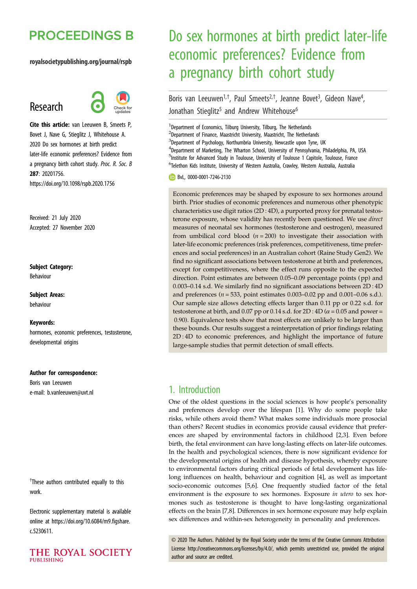# **PROCEEDINGS B**

#### royalsocietypublishing.org/journal/rspb

# Research



Cite this article: van Leeuwen B, Smeets P, Bovet J, Nave G, Stieglitz J, Whitehouse A. 2020 Do sex hormones at birth predict later-life economic preferences? Evidence from a pregnancy birth cohort study. Proc. R. Soc. B 287: 20201756. https://doi.org/10.1098/rspb.2020.1756

Received: 21 July 2020 Accepted: 27 November 2020

#### Subject Category:

Behaviour

Subject Areas: behaviour

#### Keywords:

hormones, economic preferences, testosterone, developmental origins

#### Author for correspondence:

Boris van Leeuwen e-mail: [b.vanleeuwen@uvt.nl](mailto:b.vanleeuwen@uvt.nl)

<sup>†</sup>These authors contributed equally to this work.

Electronic supplementary material is available online at [https://doi.org/10.6084/m9.figshare.](https://doi.org/10.6084/m9.figshare.c.5230611) [c.5230611.](https://doi.org/10.6084/m9.figshare.c.5230611)



# Do sex hormones at birth predict later-life economic preferences? Evidence from a pregnancy birth cohort study

Boris van Leeuwen<sup>1,†</sup>, Paul Smeets<sup>2,†</sup>, Jeanne Bovet<sup>3</sup>, Gideon Nave<sup>4</sup> , Jonathan Stieglitz<sup>5</sup> and Andrew Whitehouse<sup>6</sup>

<sup>1</sup> Department of Economics, Tilburg University, Tilburg, The Netherlands

<sup>2</sup>Department of Finance, Maastricht University, Maastricht, The Netherlands

<sup>3</sup>Department of Psychology, Northumbria University, Newcastle upon Tyne, UK

<sup>4</sup>Department of Marketing, The Wharton School, University of Pennsylvania, Philadelphia, PA, USA <sup>5</sup>Institute for Advanced Study in Toulouse, University of Toulouse 1 Capitole, Toulouse, France 6 Telethon Kids Institute, University of Western Australia, Crawley, Western Australia, Australia

BvL, [0000-0001-7246-2130](http://orcid.org/0000-0001-7246-2130)

Economic preferences may be shaped by exposure to sex hormones around birth. Prior studies of economic preferences and numerous other phenotypic characteristics use digit ratios (2D : 4D), a purported proxy for prenatal testosterone exposure, whose validity has recently been questioned. We use direct measures of neonatal sex hormones (testosterone and oestrogen), measured from umbilical cord blood ( $n = 200$ ) to investigate their association with later-life economic preferences (risk preferences, competitiveness, time preferences and social preferences) in an Australian cohort (Raine Study Gen2). We find no significant associations between testosterone at birth and preferences, except for competitiveness, where the effect runs opposite to the expected direction. Point estimates are between 0.05–0.09 percentage points (pp) and 0.003–0.14 s.d. We similarly find no significant associations between 2D : 4D and preferences ( $n = 533$ , point estimates 0.003–0.02 pp and 0.001–0.06 s.d.). Our sample size allows detecting effects larger than 0.11 pp or 0.22 s.d. for testosterone at birth, and 0.07 pp or 0.14 s.d. for  $2D : 4D (\alpha = 0.05$  and power = 0.90). Equivalence tests show that most effects are unlikely to be larger than these bounds. Our results suggest a reinterpretation of prior findings relating 2D : 4D to economic preferences, and highlight the importance of future large-sample studies that permit detection of small effects.

## 1. Introduction

One of the oldest questions in the social sciences is how people's personality and preferences develop over the lifespan [\[1\]](#page-6-0). Why do some people take risks, while others avoid them? What makes some individuals more prosocial than others? Recent studies in economics provide causal evidence that preferences are shaped by environmental factors in childhood [\[2,3](#page-6-0)]. Even before birth, the fetal environment can have long-lasting effects on later-life outcomes. In the health and psychological sciences, there is now significant evidence for the developmental origins of health and disease hypothesis, whereby exposure to environmental factors during critical periods of fetal development has lifelong influences on health, behaviour and cognition [[4](#page-6-0)], as well as important socio-economic outcomes [[5,6](#page-6-0)]. One frequently studied factor of the fetal environment is the exposure to sex hormones. Exposure in utero to sex hormones such as testosterone is thought to have long-lasting organizational effects on the brain [\[7,8\]](#page-6-0). Differences in sex hormone exposure may help explain sex differences and within-sex heterogeneity in personality and preferences.

© 2020 The Authors. Published by the Royal Society under the terms of the Creative Commons Attribution License<http://creativecommons.org/licenses/by/4.0/>, which permits unrestricted use, provided the original author and source are credited.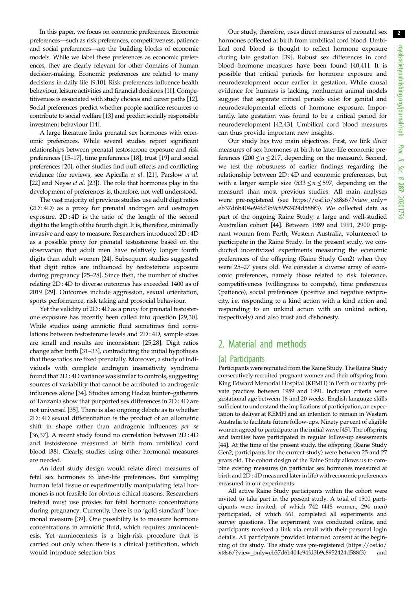In this paper, we focus on economic preferences. Economic preferences—such as risk preferences, competitiveness, patience and social preferences—are the building blocks of economic models. While we label these preferences as economic preferences, they are clearly relevant for other domains of human decision-making. Economic preferences are related to many decisions in daily life [\[9,10](#page-6-0)]. Risk preferences influence health behaviour, leisure activities and financial decisions [[11\]](#page-6-0). Competitiveness is associated with study choices and career paths [[12](#page-6-0)]. Social preferences predict whether people sacrifice resources to contribute to social welfare [\[13\]](#page-6-0) and predict socially responsible investment behaviour [[14](#page-6-0)].

A large literature links prenatal sex hormones with economic preferences. While several studies report significant relationships between prenatal testosterone exposure and risk preferences [[15](#page-6-0)–[17](#page-6-0)], time preferences [\[18\]](#page-6-0), trust [\[19\]](#page-6-0) and social preferences [[20\]](#page-6-0), other studies find null effects and conflicting evidence (for reviews, see Apicella et al. [\[21](#page-6-0)], Parslow et al. [\[22](#page-6-0)] and Neyse et al. [\[23](#page-6-0)]). The role that hormones play in the development of preferences is, therefore, not well understood.

The vast majority of previous studies use adult digit ratios (2D : 4D) as a proxy for prenatal androgen and oestrogen exposure. 2D : 4D is the ratio of the length of the second digit to the length of the fourth digit. It is, therefore, minimally invasive and easy to measure. Researchers introduced 2D : 4D as a possible proxy for prenatal testosterone based on the observation that adult men have relatively longer fourth digits than adult women [[24\]](#page-6-0). Subsequent studies suggested that digit ratios are influenced by testosterone exposure during pregnancy [[25](#page-6-0)–[28](#page-6-0)]. Since then, the number of studies relating 2D : 4D to diverse outcomes has exceeded 1400 as of 2019 [\[29](#page-6-0)]. Outcomes include aggression, sexual orientation, sports performance, risk taking and prosocial behaviour.

Yet the validity of 2D : 4D as a proxy for prenatal testosterone exposure has recently been called into question [\[29,30](#page-6-0)]. While studies using amniotic fluid sometimes find correlations between testosterone levels and 2D : 4D, sample sizes are small and results are inconsistent [\[25,28](#page-6-0)]. Digit ratios change after birth [\[31](#page-6-0)–[33\]](#page-6-0), contradicting the initial hypothesis that these ratios are fixed prenatally. Moreover, a study of individuals with complete androgen insensitivity syndrome found that 2D : 4D variance was similar to controls, suggesting sources of variability that cannot be attributed to androgenic influences alone [[34\]](#page-6-0). Studies among Hadza hunter–gatherers of Tanzania show that purported sex differences in 2D : 4D are not universal [\[35](#page-7-0)]. There is also ongoing debate as to whether 2D : 4D sexual differentiation is the product of an allometric shift in shape rather than androgenic influences per se [\[36](#page-7-0),[37\]](#page-7-0). A recent study found no correlation between 2D : 4D and testosterone measured at birth from umbilical cord blood [[38\]](#page-7-0). Clearly, studies using other hormonal measures are needed.

An ideal study design would relate direct measures of fetal sex hormones to later-life preferences. But sampling human fetal tissue or experimentally manipulating fetal hormones is not feasible for obvious ethical reasons. Researchers instead must use proxies for fetal hormone concentrations during pregnancy. Currently, there is no 'gold standard' hormonal measure [\[39](#page-7-0)]. One possibility is to measure hormone concentrations in amniotic fluid, which requires amniocentesis. Yet amniocentesis is a high-risk procedure that is carried out only when there is a clinical justification, which would introduce selection bias.

Our study, therefore, uses direct measures of neonatal sex hormones collected at birth from umbilical cord blood. Umbilical cord blood is thought to reflect hormone exposure during late gestation [[39\]](#page-7-0). Robust sex differences in cord blood hormone measures have been found [\[40,41](#page-7-0)]. It is possible that critical periods for hormone exposure and neurodevelopment occur earlier in gestation. While causal evidence for humans is lacking, nonhuman animal models suggest that separate critical periods exist for genital and neurodevelopmental effects of hormone exposure. Importantly, late gestation was found to be a critical period for neurodevelopment [\[42,43](#page-7-0)]. Umbilical cord blood measures can thus provide important new insights.

Our study has two main objectives. First, we link direct measures of sex hormones at birth to later-life economic preferences (200  $\leq$  *n*  $\leq$  217, depending on the measure). Second, we test the robustness of earlier findings regarding the relationship between 2D : 4D and economic preferences, but with a larger sample size (533  $\leq n \leq$  597, depending on the measure) than most previous studies. All main analyses were pre-registered (see [https://osf.io/xt8s6/?view\\_only=](https://osf.io/xt8s6/?view_only=eb37d6b404e94fd3b9c8952424d588f3) [eb37d6b404e94fd3b9c8952424d588f3\)](https://osf.io/xt8s6/?view_only=eb37d6b404e94fd3b9c8952424d588f3). We collected data as part of the ongoing Raine Study, a large and well-studied Australian cohort [\[44](#page-7-0)]. Between 1989 and 1991, 2900 pregnant women from Perth, Western Australia, volunteered to participate in the Raine Study. In the present study, we conducted incentivized experiments measuring the economic preferences of the offspring (Raine Study Gen2) when they were 25–27 years old. We consider a diverse array of economic preferences, namely those related to risk tolerance, competitiveness (willingness to compete), time preferences (patience), social preferences (positive and negative reciprocity, i.e. responding to a kind action with a kind action and responding to an unkind action with an unkind action, respectively) and also trust and dishonesty.

# 2. Material and methods

#### (a) Participants

Participants were recruited from the Raine Study. The Raine Study consecutively recruited pregnant women and their offspring from King Edward Memorial Hospital (KEMH) in Perth or nearby private practices between 1989 and 1991. Inclusion criteria were gestational age between 16 and 20 weeks, English language skills sufficient to understand the implications of participation, an expectation to deliver at KEMH and an intention to remain in Western Australia to facilitate future follow-ups. Ninety per cent of eligible women agreed to participate in the initial wave [\[45\]](#page-7-0). The offspring and families have participated in regular follow-up assessments [[44](#page-7-0)]. At the time of the present study, the offspring (Raine Study Gen2; participants for the current study) were between 25 and 27 years old. The cohort design of the Raine Study allows us to combine existing measures (in particular sex hormones measured at birth and 2D : 4D measured later in life) with economic preferences measured in our experiments.

All active Raine Study participants within the cohort were invited to take part in the present study. A total of 1500 participants were invited, of which 742 (448 women, 294 men) participated, of which 661 completed all experiments and survey questions. The experiment was conducted online, and participants received a link via email with their personal login details. All participants provided informed consent at the beginning of the study. The study was pre-registered [\(https://osf.io/](https://osf.io/xt8s6/?view_only=eb37d6b404e94fd3b9c8952424d588f3) [xt8s6/?view\\_only=eb37d6b404e94fd3b9c8952424d588f3\)](https://osf.io/xt8s6/?view_only=eb37d6b404e94fd3b9c8952424d588f3) and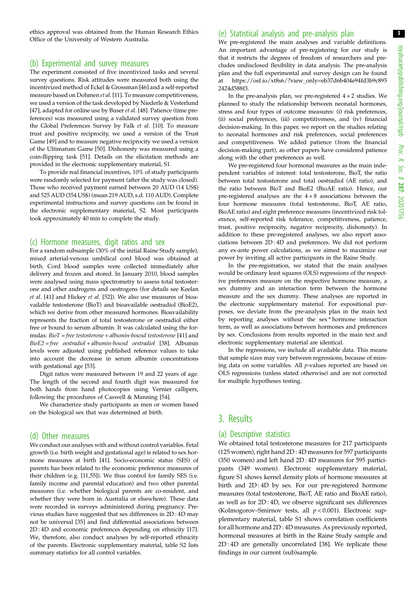ethics approval was obtained from the Human Research Ethics Office of the University of Western Australia.

#### (b) Experimental and survey measures

The experiment consisted of five incentivized tasks and several survey questions. Risk attitudes were measured both using the incentivized method of Eckel & Grossman [\[46\]](#page-7-0) and a self-reported measure based on Dohmen et al. [\[11](#page-6-0)]. To measure competitiveness, we used a version of the task developed by Niederle & Vesterlund [\[47\]](#page-7-0), adapted for online use by Buser et al. [[48](#page-7-0)]. Patience (time preferences) was measured using a validated survey question from the Global Preferences Survey by Falk et al. [\[10\]](#page-6-0). To measure trust and positive reciprocity, we used a version of the Trust Game [[49](#page-7-0)] and to measure negative reciprocity we used a version of the Ultimatum Game [\[50\]](#page-7-0). Dishonesty was measured using a coin-flipping task [\[51\]](#page-7-0). Details on the elicitation methods are provided in the electronic supplementary material, S1.

To provide real financial incentives, 10% of study participants were randomly selected for payment (after the study was closed). Those who received payment earned between 20 AUD (14 US\$) and 525 AUD (354 US\$) (mean 219 AUD, s.d. 110 AUD). Complete experimental instructions and survey questions can be found in the electronic supplementary material, S2. Most participants took approximately 40 min to complete the study.

#### (c) Hormone measures, digit ratios and sex

For a random subsample (30% of the initial Raine Study sample), mixed arterial-venous umbilical cord blood was obtained at birth. Cord blood samples were collected immediately after delivery and frozen and stored. In January 2010, blood samples were analysed using mass spectrometry to assess total testosterone and other androgens and oestrogens (for details see Keelan et al. [\[41\]](#page-7-0) and Hickey et al. [[52](#page-7-0)]). We also use measures of bioavailable testosterone (BioT) and bioavailable oestradiol (BioE2), which we derive from other measured hormones. Bioavailability represents the fraction of total testosterone or oestradiol either free or bound to serum albumin. It was calculated using the formulas:  $BioT = free testosterone + albumin-bound testosterone [41]$  $BioT = free testosterone + albumin-bound testosterone [41]$  $BioT = free testosterone + albumin-bound testosterone [41]$  and  $BioE2 = free$  oestradiol + albumin-bound oestradiol [\[38\]](#page-7-0). Albumin levels were adjusted using published reference values to take into account the decrease in serum albumin concentrations with gestational age [[53](#page-7-0)].

Digit ratios were measured between 19 and 22 years of age. The length of the second and fourth digit was measured for both hands from hand photocopies using Vernier callipers, following the procedures of Caswell & Manning [[54](#page-7-0)].

We characterize study participants as men or women based on the biological sex that was determined at birth.

#### (d) Other measures

We conduct our analyses with and without control variables. Fetal growth (i.e. birth weight and gestational age) is related to sex hormone measures at birth [[41](#page-7-0)]. Socio-economic status (SES) of parents has been related to the economic preference measures of their children (e.g. [\[11](#page-6-0)[,55\]](#page-7-0)). We thus control for family SES (i.e. family income and parental education) and two other parental measures (i.e. whether biological parents are co-resident, and whether they were born in Australia or elsewhere). These data were recorded in surveys administered during pregnancy. Previous studies have suggested that sex differences in 2D : 4D may not be universal [\[35\]](#page-7-0) and find differential associations between 2D : 4D and economic preferences depending on ethnicity [\[17\]](#page-6-0). We, therefore, also conduct analyses by self-reported ethnicity of the parents. Electronic supplementary material, table S2 lists summary statistics for all control variables.

### (e) Statistical analysis and pre-analysis plan

We pre-registered the main analyses and variable definitions. An important advantage of pre-registering for our study is that it restricts the degrees of freedom of researchers and precludes undisclosed flexibility in data analysis. The pre-analysis plan and the full experimental and survey design can be found at [https://osf.io/xt8s6/?view\\_only=eb37d6b404e94fd3b9c895](https://osf.io/xt8s6/?view_only=eb37d6b404e94fd3b9c8952424d588f3) [2424d588f3.](https://osf.io/xt8s6/?view_only=eb37d6b404e94fd3b9c8952424d588f3)

In the pre-analysis plan, we pre-registered  $4 \times 2$  studies. We planned to study the relationship between neonatal hormones, stress and four types of outcome measures: (i) risk preferences, (ii) social preferences, (iii) competitiveness, and (iv) financial decision-making. In this paper, we report on the studies relating to neonatal hormones and risk preferences, social preferences and competitiveness. We added patience (from the financial decision-making part), as other papers have considered patience along with the other preferences as well.

We pre-registered four hormonal measures as the main independent variables of interest: total testosterone, BioT, the ratio between total testosterone and total oestradiol (AE ratio), and the ratio between BioT and BioE2 (BioAE ratio). Hence, our pre-registered analyses are the  $4 \times 8$  associations between the four hormone measures (total testosterone, BioT, AE ratio, BioAE ratio) and eight preference measures (incentivized risk tolerance, self-reported risk tolerance, competitiveness, patience, trust, positive reciprocity, negative reciprocity, dishonesty). In addition to these pre-registered analyses, we also report associations between 2D : 4D and preferences. We did not perform any ex-ante power calculations, as we aimed to maximize our power by inviting all active participants in the Raine Study.

In the pre-registration, we stated that the main analyses would be ordinary least squares (OLS) regressions of the respective preferences measure on the respective hormone measure, a sex dummy and an interaction term between the hormone measure and the sex dummy. These analyses are reported in the electronic supplementary material. For expositional purposes, we deviate from the pre-analysis plan in the main text by reporting analyses without the sex \* hormone interaction term, as well as associations between hormones and preferences by sex. Conclusions from results reported in the main text and electronic supplementary material are identical.

In the regressions, we include all available data. This means that sample sizes may vary between regressions, because of missing data on some variables. All p-values reported are based on OLS regressions (unless stated otherwise) and are not corrected for multiple hypotheses testing.

# 3. Results

### (a) Descriptive statistics

We obtained total testosterone measures for 217 participants (125 women), right hand 2D : 4D measures for 597 participants (350 women) and left hand 2D : 4D measures for 595 participants (349 women). Electronic supplementary material, figure S1 shows kernel density plots of hormone measures at birth and 2D:4D by sex. For our pre-registered hormone measures (total testosterone, BioT, AE ratio and BioAE ratio), as well as for 2D : 4D, we observe significant sex differences (Kolmogorov–Smirnov tests, all  $p < 0.001$ ). Electronic supplementary material, table S1 shows correlation coefficients for all hormone and 2D : 4D measures. As previously reported, hormonal measures at birth in the Raine Study sample and 2D : 4D are generally uncorrelated [[38](#page-7-0)]. We replicate these findings in our current (sub)sample.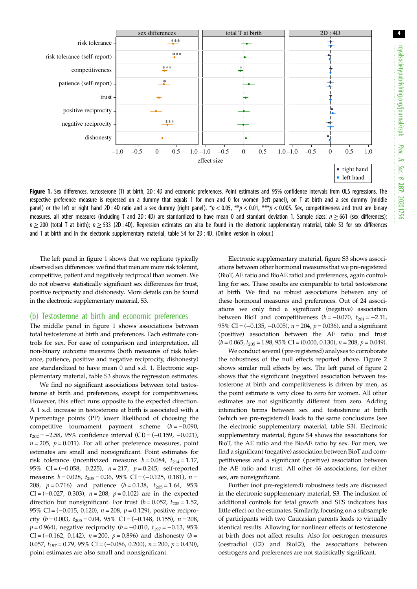<span id="page-3-0"></span>

Figure 1. Sex differences, testosterone (T) at birth, 2D: 4D and economic preferences. Point estimates and 95% confidence intervals from OLS regressions. The respective preference measure is regressed on a dummy that equals 1 for men and 0 for women (left panel), on T at birth and a sex dummy (middle panel) or the left or right hand 2D : 4D ratio and a sex dummy (right panel). \*p < 0.05, \*\*p < 0.01, \*\*\*p < 0.005. Sex, competitiveness and trust are binary measures, all other measures (including T and 2D : 4D) are standardized to have mean 0 and standard deviation 1. Sample sizes:  $n \ge 661$  (sex differences);  $n \ge 200$  (total T at birth);  $n \ge 533$  (2D : 4D). Regression estimates can also be found in the electronic supplementary material, table S3 for sex differences and T at birth and in the electronic supplementary material, table S4 for 2D : 4D. (Online version in colour.)

The left panel in figure 1 shows that we replicate typically observed sex differences: we find that men are more risk tolerant, competitive, patient and negatively reciprocal than women. We do not observe statistically significant sex differences for trust, positive reciprocity and dishonesty. More details can be found in the electronic supplementary material, S3.

#### (b) Testosterone at birth and economic preferences

The middle panel in figure 1 shows associations between total testosterone at birth and preferences. Each estimate controls for sex. For ease of comparison and interpretation, all non-binary outcome measures (both measures of risk tolerance, patience, positive and negative reciprocity, dishonesty) are standardized to have mean 0 and s.d. 1. Electronic supplementary material, table S3 shows the regression estimates.

We find no significant associations between total testosterone at birth and preferences, except for competitiveness. However, this effect runs opposite to the expected direction. A 1 s.d. increase in testosterone at birth is associated with a 9 percentage points (PP) lower likelihood of choosing the competitive tournament payment scheme  $(b = -0.090)$ ,  $t_{202} = -2.58$ , 95% confidence interval (CI) = (-0.159, -0.021),  $n = 205$ ,  $p = 0.011$ ). For all other preference measures, point estimates are small and nonsignificant. Point estimates for risk tolerance (incentivized measure:  $b = 0.084$ ,  $t_{214} = 1.17$ , 95% CI = (-0.058, 0.225), n = 217, p = 0.245; self-reported measure:  $b = 0.028$ ,  $t_{205} = 0.36$ ,  $95\%$  CI = (-0.125, 0.181),  $n =$ 208,  $p = 0.716$ ) and patience  $(b = 0.138, t_{205} = 1.64, 95\%$ CI =  $(-0.027, 0.303)$ ,  $n = 208$ ,  $p = 0.102$ ) are in the expected direction but nonsignificant. For trust  $(b = 0.052, t_{205} = 1.52,$ 95% CI = (-0.015, 0.120), n = 208, p = 0.129), positive reciprocity ( $b = 0.003$ ,  $t_{205} = 0.04$ ,  $95\%$  CI = (-0.148, 0.155),  $n = 208$ ,  $p = 0.964$ ), negative reciprocity ( $b = -0.010$ ,  $t_{197} = -0.13$ , 95% CI = (-0.162, 0.142),  $n = 200$ ,  $p = 0.896$ ) and dishonesty ( $b =$ 0.057,  $t_{197} = 0.79$ ,  $95\%$  CI = (-0.086, 0.200),  $n = 200$ ,  $p = 0.430$ ), point estimates are also small and nonsignificant.

Electronic supplementary material, figure S3 shows associations between other hormonal measures that we pre-registered (BioT, AE ratio and BioAE ratio) and preferences, again controlling for sex. These results are comparable to total testosterone at birth. We find no robust associations between any of these hormonal measures and preferences. Out of 24 associations we only find a significant (negative) association between BioT and competitiveness  $(b = -0.070, t_{201} = -2.11,$ 95% CI =  $(-0.135, -0.005)$ ,  $n = 204$ ,  $p = 0.036$ ), and a significant (positive) association between the AE ratio and trust  $(b = 0.065, t_{205} = 1.98, 95\% \text{ CI} = (0.000, 0.130), n = 208, p = 0.049).$ 

We conduct several (pre-registered) analyses to corroborate the robustness of the null effects reported above. [Figure 2](#page-4-0) shows similar null effects by sex. The left panel of [figure 2](#page-4-0) shows that the significant (negative) association between testosterone at birth and competitiveness is driven by men, as the point estimate is very close to zero for women. All other estimates are not significantly different from zero. Adding interaction terms between sex and testosterone at birth (which we pre-registered) leads to the same conclusions (see the electronic supplementary material, table S3). Electronic supplementary material, figure S4 shows the associations for BioT, the AE ratio and the BioAE ratio by sex. For men, we find a significant (negative) association between BioT and competitiveness and a significant (positive) association between the AE ratio and trust. All other 46 associations, for either sex, are nonsignificant.

Further (not pre-registered) robustness tests are discussed in the electronic supplementary material, S3. The inclusion of additional controls for fetal growth and SES indicators has little effect on the estimates. Similarly, focusing on a subsample of participants with two Caucasian parents leads to virtually identical results. Allowing for nonlinear effects of testosterone at birth does not affect results. Also for oestrogen measures (oestradiol (E2) and BioE2), the associations between oestrogens and preferences are not statistically significant.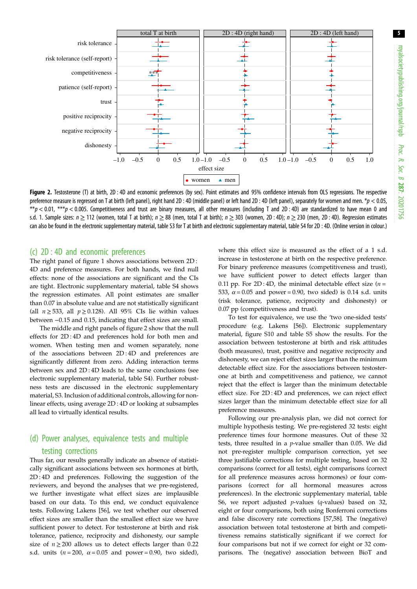<span id="page-4-0"></span>

Figure 2. Testosterone (T) at birth, 2D : 4D and economic preferences (by sex). Point estimates and 95% confidence intervals from OLS regressions. The respective preference measure is regressed on T at birth (left panel), right hand 2D : 4D (middle panel) or left hand 2D : 4D (left panel), separately for women and men. \*p < 0.05, \*\*p < 0.01, \*\*\*p < 0.005. Competitiveness and trust are binary measures, all other measures (including T and 2D : 4D) are standardized to have mean 0 and s.d. 1. Sample sizes:  $n \ge 112$  (women, total T at birth);  $n \ge 88$  (men, total T at birth);  $n \ge 303$  (women, 2D : 4D);  $n \ge 230$  (men, 2D : 4D). Regression estimates can also be found in the electronic supplementary material, table S3 for T at birth and electronic supplementary material, table S4 for 2D : 4D. (Online version in colour.)

#### (c) 2D : 4D and economic preferences

The right panel of [figure 1](#page-3-0) shows associations between 2D : 4D and preference measures. For both hands, we find null effects: none of the associations are significant and the CIs are tight. Electronic supplementary material, table S4 shows the regression estimates. All point estimates are smaller than 0.07 in absolute value and are not statistically significant (all  $n \ge 533$ , all  $p \ge 0.128$ ). All 95% CIs lie within values between −0.15 and 0.15, indicating that effect sizes are small.

The middle and right panels of figure 2 show that the null effects for 2D : 4D and preferences hold for both men and women. When testing men and women separately, none of the associations between 2D : 4D and preferences are significantly different from zero. Adding interaction terms between sex and 2D : 4D leads to the same conclusions (see electronic supplementary material, table S4). Further robustness tests are discussed in the electronic supplementary material, S3. Inclusion of additional controls, allowing for nonlinear effects, using average 2D : 4D or looking at subsamples all lead to virtually identical results.

# (d) Power analyses, equivalence tests and multiple testing corrections

Thus far, our results generally indicate an absence of statistically significant associations between sex hormones at birth, 2D : 4D and preferences. Following the suggestion of the reviewers, and beyond the analyses that we pre-registered, we further investigate what effect sizes are implausible based on our data. To this end, we conduct equivalence tests. Following Lakens [[56\]](#page-7-0), we test whether our observed effect sizes are smaller than the smallest effect size we have sufficient power to detect. For testosterone at birth and risk tolerance, patience, reciprocity and dishonesty, our sample size of  $n \geq 200$  allows us to detect effects larger than 0.22 s.d. units ( $n = 200$ ,  $\alpha = 0.05$  and power = 0.90, two sided), where this effect size is measured as the effect of a 1 s.d. increase in testosterone at birth on the respective preference. For binary preference measures (competitiveness and trust), we have sufficient power to detect effects larger than 0.11 pp. For 2D:4D, the minimal detectable effect size  $(n = 1)$ 533,  $\alpha$  = 0.05 and power = 0.90, two sided) is 0.14 s.d. units (risk tolerance, patience, reciprocity and dishonesty) or 0.07 pp (competitiveness and trust).

To test for equivalence, we use the 'two one-sided tests' procedure (e.g. Lakens [\[56](#page-7-0)]). Electronic supplementary material, figure S10 and table S5 show the results. For the association between testosterone at birth and risk attitudes (both measures), trust, positive and negative reciprocity and dishonesty, we can reject effect sizes larger than the minimum detectable effect size. For the associations between testosterone at birth and competitiveness and patience, we cannot reject that the effect is larger than the minimum detectable effect size. For 2D : 4D and preferences, we can reject effect sizes larger than the minimum detectable effect size for all preference measures.

Following our pre-analysis plan, we did not correct for multiple hypothesis testing. We pre-registered 32 tests: eight preference times four hormone measures. Out of these 32 tests, three resulted in a p-value smaller than 0.05. We did not pre-register multiple comparison correction, yet see three justifiable corrections for multiple testing, based on 32 comparisons (correct for all tests), eight comparisons (correct for all preference measures across hormones) or four comparisons (correct for all hormonal measures across preferences). In the electronic supplementary material, table S6, we report adjusted p-values (q-values) based on 32, eight or four comparisons, both using Bonferroni corrections and false discovery rate corrections [[57,58](#page-7-0)]. The (negative) association between total testosterone at birth and competitiveness remains statistically significant if we correct for four comparisons but not if we correct for eight or 32 comparisons. The (negative) association between BioT and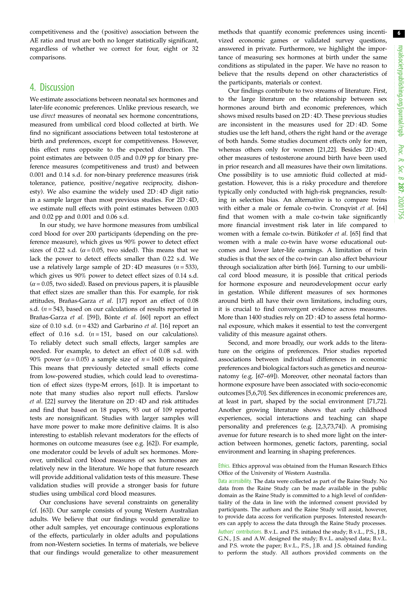competitiveness and the (positive) association between the AE ratio and trust are both no longer statistically significant, regardless of whether we correct for four, eight or 32 comparisons.

# 4. Discussion

We estimate associations between neonatal sex hormones and later-life economic preferences. Unlike previous research, we use direct measures of neonatal sex hormone concentrations, measured from umbilical cord blood collected at birth. We find no significant associations between total testosterone at birth and preferences, except for competitiveness. However, this effect runs opposite to the expected direction. The point estimates are between 0.05 and 0.09 pp for binary preference measures (competitiveness and trust) and between 0.001 and 0.14 s.d. for non-binary preference measures (risk tolerance, patience, positive/negative reciprocity, dishonesty). We also examine the widely used 2D : 4D digit ratio in a sample larger than most previous studies. For 2D : 4D, we estimate null effects with point estimates between 0.003 and 0.02 pp and 0.001 and 0.06 s.d.

In our study, we have hormone measures from umbilical cord blood for over 200 participants (depending on the preference measure), which gives us 90% power to detect effect sizes of 0.22 s.d. ( $\alpha$  = 0.05, two sided). This means that we lack the power to detect effects smaller than 0.22 s.d. We use a relatively large sample of  $2D:4D$  measures  $(n = 533)$ , which gives us 90% power to detect effect sizes of 0.14 s.d.  $(\alpha = 0.05$ , two sided). Based on previous papers, it is plausible that effect sizes are smaller than this. For example, for risk attitudes, Brañas-Garza et al. [\[17](#page-6-0)] report an effect of 0.08 s.d.  $(n = 543)$ , based on our calculations of results reported in Brañas-Garza et al. [\[59](#page-7-0)]), Bönte et al. [\[60](#page-7-0)] report an effect size of 0.10 s.d.  $(n = 432)$  and Garbarino *et al.* [\[16](#page-6-0)] report an effect of 0.16 s.d.  $(n = 151,$  based on our calculations). To reliably detect such small effects, larger samples are needed. For example, to detect an effect of 0.08 s.d. with 90% power ( $\alpha$  = 0.05) a sample size of  $n = 1600$  is required. This means that previously detected small effects come from low-powered studies, which could lead to overestimation of effect sizes (type-M errors, [\[61](#page-7-0)]). It is important to note that many studies also report null effects. Parslow et al. [\[22](#page-6-0)] survey the literature on 2D : 4D and risk attitudes and find that based on 18 papers, 93 out of 109 reported tests are nonsignificant. Studies with larger samples will have more power to make more definitive claims. It is also interesting to establish relevant moderators for the effects of hormones on outcome measures (see e.g. [\[62](#page-7-0)]). For example, one moderator could be levels of adult sex hormones. Moreover, umbilical cord blood measures of sex hormones are relatively new in the literature. We hope that future research will provide additional validation tests of this measure. These validation studies will provide a stronger basis for future studies using umbilical cord blood measures.

Our conclusions have several constraints on generality (cf. [[63\]](#page-7-0)). Our sample consists of young Western Australian adults. We believe that our findings would generalize to other adult samples, yet encourage continuous explorations of the effects, particularly in older adults and populations from non-Western societies. In terms of materials, we believe that our findings would generalize to other measurement methods that quantify economic preferences using incentivized economic games or validated survey questions, answered in private. Furthermore, we highlight the importance of measuring sex hormones at birth under the same conditions as stipulated in the paper. We have no reason to believe that the results depend on other characteristics of the participants, materials or context.

Our findings contribute to two streams of literature. First, to the large literature on the relationship between sex hormones around birth and economic preferences, which shows mixed results based on 2D : 4D. These previous studies are inconsistent in the measures used for 2D : 4D. Some studies use the left hand, others the right hand or the average of both hands. Some studies document effects only for men, whereas others only for women [[21,22\]](#page-6-0). Besides 2D : 4D, other measures of testosterone around birth have been used in prior research and all measures have their own limitations. One possibility is to use amniotic fluid collected at midgestation. However, this is a risky procedure and therefore typically only conducted with high-risk pregnancies, resulting in selection bias. An alternative is to compare twins with either a male or female co-twin. Cronqvist et al. [[64\]](#page-7-0) find that women with a male co-twin take significantly more financial investment risk later in life compared to women with a female co-twin. Bütikofer et al. [[65\]](#page-7-0) find that women with a male co-twin have worse educational outcomes and lower later-life earnings. A limitation of twin studies is that the sex of the co-twin can also affect behaviour through socialization after birth [\[66](#page-7-0)]. Turning to our umbilical cord blood measure, it is possible that critical periods for hormone exposure and neurodevelopment occur early in gestation. While different measures of sex hormones around birth all have their own limitations, including ours, it is crucial to find convergent evidence across measures. More than 1400 studies rely on 2D : 4D to assess fetal hormonal exposure, which makes it essential to test the convergent validity of this measure against others.

Second, and more broadly, our work adds to the literature on the origins of preferences. Prior studies reported associations between individual differences in economic preferences and biological factors such as genetics and neuroanatomy (e.g. [\[67](#page-7-0)–[69\]](#page-7-0)). Moreover, other neonatal factors than hormone exposure have been associated with socio-economic outcomes [\[5,6,](#page-6-0)[70\]](#page-7-0). Sex differences in economic preferences are, at least in part, shaped by the social environment [\[71](#page-7-0),[72\]](#page-7-0). Another growing literature shows that early childhood experiences, social interactions and teaching can shape personality and preferences (e.g. [\[2,3](#page-6-0),[73,74\]](#page-7-0)). A promising avenue for future research is to shed more light on the interaction between hormones, genetic factors, parenting, social environment and learning in shaping preferences.

Ethics. Ethics approval was obtained from the Human Research Ethics Office of the University of Western Australia.

Data accessibility. The data were collected as part of the Raine Study. No data from the Raine Study can be made available in the public domain as the Raine Study is committed to a high level of confidentiality of the data in line with the informed consent provided by participants. The authors and the Raine Study will assist, however, to provide data access for verification purposes. Interested researchers can apply to access the data through the Raine Study processes. Authors' contributions. B.v.L. and P.S. initiated the study; B.v.L., P.S., J.B., G.N., J.S. and A.W. designed the study; B.v.L. analysed data; B.v.L. and P.S. wrote the paper; B.v.L., P.S., J.B. and J.S. obtained funding to perform the study. All authors provided comments on the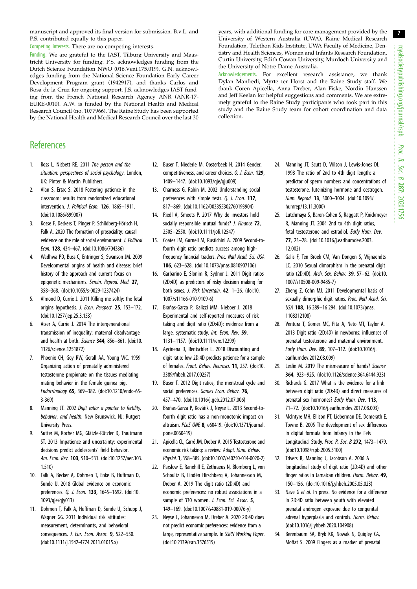<span id="page-6-0"></span>manuscript and approved its final version for submission. B.v.L. and P.S. contributed equally to this paper.

Competing interests. There are no competing interests.

Funding. We are grateful to the IAST, Tilburg University and Maastricht University for funding. P.S. acknowledges funding from the Dutch Science Foundation NWO (016.Veni.175.019). G.N. acknowledges funding from the National Science Foundation Early Career Development Program grant (1942917), and thanks Carlos and Rosa de la Cruz for ongoing support. J.S. acknowledges IAST funding from the French National Research Agency ANR (ANR-17- EURE-0010). A.W. is funded by the National Health and Medical Research Council (no. 1077966). The Raine Study has been supported by the National Health and Medical Research Council over the last 30 years, with additional funding for core management provided by the University of Western Australia (UWA), Raine Medical Research Foundation, Telethon Kids Institute, UWA Faculty of Medicine, Dentistry and Health Sciences, Women and Infants Research Foundation, Curtin University, Edith Cowan University, Murdoch University and the University of Notre Dame Australia.

Acknowledgements. For excellent research assistance, we thank Dylan Manfredi, Myrte ter Horst and the Raine Study staff. We thank Coren Apicella, Anna Dreber, Alan Fiske, Nordin Hanssen and Jeff Keelan for helpful suggestions and comments. We are extremely grateful to the Raine Study participants who took part in this study and the Raine Study team for cohort coordination and data collection.

# **References**

- 1. Ross L, Nisbett RE. 2011 The person and the situation: perspectives of social psychology. London, UK: Pinter & Martin Publishers.
- 2. Alan S, Ertac S. 2018 Fostering patience in the classroom: results from randomized educational intervention. J. Political Econ. 126, 1865-1911. [\(doi:10.1086/699007](http://dx.doi.org/10.1086/699007))
- 3. Kosse F, Deckers T, Pinger P, Schildberg-Hörisch H, Falk A. 2020 The formation of prosociality: causal evidence on the role of social environment. J. Political Econ. 128, 434–467. ([doi:10.1086/704386\)](http://dx.doi.org/10.1086/704386)
- 4. Wadhwa PD, Buss C, Entringer S, Swanson JM. 2009 Developmental origins of health and disease: brief history of the approach and current focus on epigenetic mechanisms. Semin. Reprod. Med. 27, 358–368. ([doi:10.1055/s-0029-1237424\)](http://dx.doi.org/10.1055/s-0029-1237424)
- 5. Almond D, Currie J. 2011 Killing me softly: the fetal origins hypothesis. J. Econ. Perspect. 25, 153–172. [\(doi:10.1257/jep.25.3.153\)](http://dx.doi.org/10.1257/jep.25.3.153)
- 6. Aizer A, Currie J. 2014 The intergenerational transmission of inequality: maternal disadvantage and health at birth. Science 344, 856-861. ([doi:10.](http://dx.doi.org/10.1126/science.1251872) [1126/science.1251872\)](http://dx.doi.org/10.1126/science.1251872)
- 7. Phoenix CH, Goy RW, Gerall AA, Young WC. 1959 Organizing action of prenatally administered testosterone propionate on the tissues mediating mating behavior in the female guinea pig. Endocrinology 65, 369–382. ([doi:10.1210/endo-65-](http://dx.doi.org/10.1210/endo-65-3-369) [3-369](http://dx.doi.org/10.1210/endo-65-3-369))
- 8. Manning JT. 2002 Digit ratio: a pointer to fertility, behavior, and health. New Brunswick, NJ: Rutgers University Press.
- 9. Sutter M, Kocher MG, Glätzle-Rützler D, Trautmann ST. 2013 Impatience and uncertainty: experimental decisions predict adolescents' field behavior. Am. Econ. Rev. 103, 510–531. ([doi:10.1257/aer.103.](http://dx.doi.org/10.1257/aer.103.1.510) [1.510](http://dx.doi.org/10.1257/aer.103.1.510))
- 10. Falk A, Becker A, Dohmen T, Enke B, Huffman D, Sunde U. 2018 Global evidence on economic preferences. Q. J. Econ. 133, 1645–1692. ([doi:10.](http://dx.doi.org/10.1093/qje/qjy013) [1093/qje/qjy013](http://dx.doi.org/10.1093/qje/qjy013))
- 11. Dohmen T, Falk A, Huffman D, Sunde U, Schupp J, Wagner GG. 2011 Individual risk attitudes: measurement, determinants, and behavioral consequences. J. Eur. Econ. Assoc. 9, 522–550. [\(doi:10.1111/j.1542-4774.2011.01015.x](http://dx.doi.org/10.1111/j.1542-4774.2011.01015.x))
- 12. Buser T, Niederle M, Oosterbeek H. 2014 Gender, competitiveness, and career choices. Q. J. Econ. 129, 1409–1447. [\(doi:10.1093/qje/qju009\)](http://dx.doi.org/10.1093/qje/qju009)
- 13. Charness G, Rabin M. 2002 Understanding social preferences with simple tests. Q. J. Econ. 117, 817–869. ([doi:10.1162/003355302760193904\)](http://dx.doi.org/10.1162/003355302760193904)
- 14. Riedl A, Smeets P. 2017 Why do investors hold socially responsible mutual funds? J. Finance 72, 2505–2550. [\(doi:10.1111/jofi.12547](http://dx.doi.org/10.1111/jofi.12547))
- 15. Coates JM, Gurnell M, Rustichini A. 2009 Second-tofourth digit ratio predicts success among highfrequency financial traders. Proc. Natl Acad. Sci. USA 106, 623–628. ([doi:10.1073/pnas.0810907106](http://dx.doi.org/10.1073/pnas.0810907106))
- 16. Garbarino E, Slonim R, Sydnor J. 2011 Digit ratios (2D:4D) as predictors of risky decision making for both sexes. J. Risk Uncertain. 42, 1–26. [\(doi:10.](http://dx.doi.org/10.1007/s11166-010-9109-6) [1007/s11166-010-9109-6\)](http://dx.doi.org/10.1007/s11166-010-9109-6)
- 17. Brañas-Garza P, Galizzi MM, Nieboer J. 2018 Experimental and self-reported measures of risk taking and digit ratio (2D:4D): evidence from a large, systematic study. Int. Econ. Rev. 59, 1131–1157. [\(doi:10.1111/iere.12299](http://dx.doi.org/10.1111/iere.12299))
- 18. Aycinena D, Rentschler L. 2018 Discounting and digit ratio: low 2D:4D predicts patience for a sample of females. Front. Behav. Neurosci. 11, 257. [\(doi:10.](http://dx.doi.org/10.3389/fnbeh.2017.00257) [3389/fnbeh.2017.00257](http://dx.doi.org/10.3389/fnbeh.2017.00257))
- 19. Buser T. 2012 Digit ratios, the menstrual cycle and social preferences. Games Econ. Behav. 76, 457–470. ([doi:10.1016/j.geb.2012.07.006](http://dx.doi.org/10.1016/j.geb.2012.07.006))
- 20. Brañas-Garza P, Kovářík J, Neyse L. 2013 Second-tofourth digit ratio has a non-monotonic impact on altruism. PLoS ONE 8, e60419. ([doi:10.1371/journal.](http://dx.doi.org/10.1371/journal.pone.0060419) [pone.0060419\)](http://dx.doi.org/10.1371/journal.pone.0060419)
- 21. Apicella CL, Carré JM, Dreber A. 2015 Testosterone and economic risk taking: a review. Adapt. Hum. Behav. Physiol. 1, 358–385. [\(doi:10.1007/s40750-014-0020-2\)](http://dx.doi.org/10.1007/s40750-014-0020-2)
- 22. Parslow E, Ranehill E, Zethraeus N, Blomberg L, von Schoultz B, Lindén Hirschberg A, Johannesson M, Dreber A. 2019 The digit ratio (2D:4D) and economic preferences: no robust associations in a sample of 330 women. J. Econ. Sci. Assoc. 5, 149–169. ([doi:10.1007/s40881-019-00076-y\)](http://dx.doi.org/10.1007/s40881-019-00076-y)
- 23. Neyse L, Johanneson M, Dreber A. 2020 2D:4D does not predict economic preferences: evidence from a large, representative sample. In SSRN Working Paper. [\(doi:10.2139/ssrn.3576515\)](http://dx.doi.org/10.2139/ssrn.3576515)
- 24. Manning JT, Scutt D, Wilson J, Lewis-Jones DI. 1998 The ratio of 2nd to 4th digit length: a predictor of sperm numbers and concentrations of testosterone, luteinizing hormone and oestrogen. Hum. Reprod. 13, 3000–3004. ([doi:10.1093/](http://dx.doi.org/10.1093/humrep/13.11.3000) [humrep/13.11.3000\)](http://dx.doi.org/10.1093/humrep/13.11.3000)
- 25. Lutchmaya S, Baron-Cohen S, Raggatt P, Knickmeyer R, Manning JT. 2004 2nd to 4th digit ratios, fetal testosterone and estradiol. Early Hum. Dev. 77, 23–28. ([doi:10.1016/j.earlhumdev.2003.](http://dx.doi.org/10.1016/j.earlhumdev.2003.12.002) [12.002](http://dx.doi.org/10.1016/j.earlhumdev.2003.12.002))
- 26. Galis F, Ten Broek CM, Van Dongen S, Wijnaendts LC. 2010 Sexual dimorphism in the prenatal digit ratio (2D:4D). Arch. Sex. Behav. 39, 57–62. [\(doi:10.](http://dx.doi.org/10.1007/s10508-009-9485-7) [1007/s10508-009-9485-7](http://dx.doi.org/10.1007/s10508-009-9485-7))
- 27. Zheng Z, Cohn MJ. 2011 Developmental basis of sexually dimorphic digit ratios. Proc. Natl Acad. Sci. USA 108, 16 289–16 294. [\(doi:10.1073/pnas.](http://dx.doi.org/10.1073/pnas.1108312108) [1108312108](http://dx.doi.org/10.1073/pnas.1108312108))
- 28. Ventura T, Gomes MC, Pita A, Neto MT, Taylor A. 2013 Digit ratio (2D:4D) in newborns: influences of prenatal testosterone and maternal environment. Early Hum. Dev. 89, 107–112. ([doi:10.1016/j.](http://dx.doi.org/10.1016/j.earlhumdev.2012.08.009) [earlhumdev.2012.08.009\)](http://dx.doi.org/10.1016/j.earlhumdev.2012.08.009)
- 29. Leslie M. 2019 The mismeasure of hands? Science 364, 923–925. [\(doi:10.1126/science.364.6444.923\)](http://dx.doi.org/10.1126/science.364.6444.923)
- 30. Richards G. 2017 What is the evidence for a link between digit ratio (2D:4D) and direct measures of prenatal sex hormones? Early Hum. Dev. 113, 71–72. ([doi:10.1016/j.earlhumdev.2017.08.003\)](http://dx.doi.org/10.1016/j.earlhumdev.2017.08.003)
- 31. McIntyre MH, Ellison PT, Lieberman DE, Demerath E, Towne B. 2005 The development of sex differences in digital formula from infancy in the Fels Longitudinal Study. Proc. R. Soc. B 272, 1473–1479. ([doi:10.1098/rspb.2005.3100\)](http://dx.doi.org/10.1098/rspb.2005.3100)
- 32. Trivers R, Manning J, Jacobson A. 2006 A longitudinal study of digit ratio (2D:4D) and other finger ratios in Jamaican children. Horm. Behav. 49, 150–156. [\(doi:10.1016/j.yhbeh.2005.05.023\)](http://dx.doi.org/10.1016/j.yhbeh.2005.05.023)
- 33. Nave G et al. In press. No evidence for a difference in 2D:4D ratio between youth with elevated prenatal androgen exposure due to congenital adrenal hyperplasia and controls. Horm. Behav. ([doi:10.1016/j.yhbeh.2020.104908\)](http://dx.doi.org/10.1016/j.yhbeh.2020.104908)
- 34. Berenbaum SA, Bryk KK, Nowak N, Quigley CA, Moffat S. 2009 Fingers as a marker of prenatal